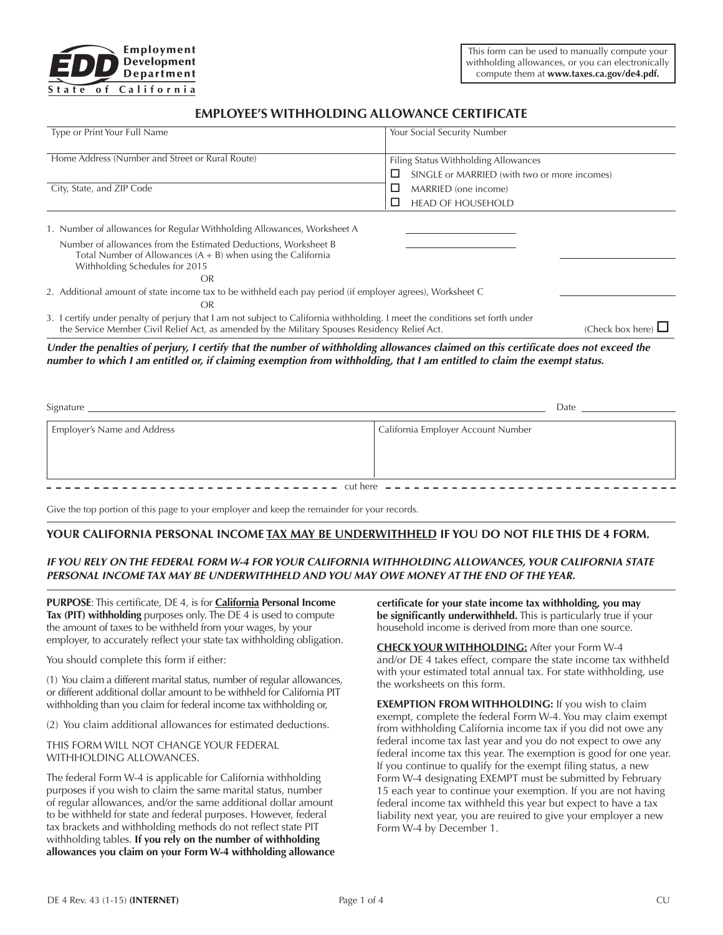

# **EMPLOYEE'S WITHHOLDING ALLOWANCE CERTIFICATE**

| Type or Print Your Full Name                                                                                                                                                                                                                                    | Your Social Security Number                                                          |
|-----------------------------------------------------------------------------------------------------------------------------------------------------------------------------------------------------------------------------------------------------------------|--------------------------------------------------------------------------------------|
| Home Address (Number and Street or Rural Route)                                                                                                                                                                                                                 | Filing Status Withholding Allowances<br>SINGLE or MARRIED (with two or more incomes) |
| City, State, and ZIP Code                                                                                                                                                                                                                                       | MARRIED (one income)<br>ப                                                            |
|                                                                                                                                                                                                                                                                 | <b>HEAD OF HOUSEHOLD</b>                                                             |
| 1. Number of allowances for Regular Withholding Allowances, Worksheet A                                                                                                                                                                                         |                                                                                      |
| Number of allowances from the Estimated Deductions, Worksheet B<br>Total Number of Allowances $(A + B)$ when using the California<br>Withholding Schedules for 2015                                                                                             |                                                                                      |
| <b>OR</b>                                                                                                                                                                                                                                                       |                                                                                      |
| 2. Additional amount of state income tax to be withheld each pay period (if employer agrees), Worksheet C<br>OR                                                                                                                                                 |                                                                                      |
| 3. I certify under penalty of perjury that I am not subject to California withholding. I meet the conditions set forth under<br>the Service Member Civil Relief Act, as amended by the Military Spouses Residency Relief Act.                                   | (Check box here) $\Box$                                                              |
| Under the penalties of perjury, I certify that the number of withholding allowances claimed on this certificate does not exceed the<br>number to which I am entitled or, if claiming exemption from withholding, that I am entitled to claim the exempt status. |                                                                                      |
| Signature                                                                                                                                                                                                                                                       | Date                                                                                 |
|                                                                                                                                                                                                                                                                 |                                                                                      |

| Employer's Name and Address | California Employer Account Number |  |  |  |
|-----------------------------|------------------------------------|--|--|--|
|                             |                                    |  |  |  |
|                             |                                    |  |  |  |
|                             |                                    |  |  |  |

Give the top portion of this page to your employer and keep the remainder for your records.

## **YOUR CALIFORNIA PERSONAL INCOME TAX MAY BE UNDERWITHHELD IF YOU DO NOT FILE THIS DE 4 FORM.**

## *IF YOU RELY ON THE FEDERAL FORM W-4 FOR YOUR CALIFORNIA WITHHOLDING ALLOWANCES, YOUR CALIFORNIA STATE PERSONAL INCOME TAX MAY BE UNDERWITHHELD AND YOU MAY OWE MONEY AT THE END OF THE YEAR.*

**PURPOSE**: This certificate, DE 4, is for **California Personal Income Tax (PIT) withholding** purposes only. The DE 4 is used to compute the amount of taxes to be withheld from your wages, by your employer, to accurately reflect your state tax withholding obligation.

You should complete this form if either:

(1) You claim a different marital status, number of regular allowances, or different additional dollar amount to be withheld for California PIT withholding than you claim for federal income tax withholding or,

(2) You claim additional allowances for estimated deductions.

THIS FORM WILL NOT CHANGE YOUR FEDERAL WITHHOLDING ALLOWANCES.

The federal Form W-4 is applicable for California withholding purposes if you wish to claim the same marital status, number of regular allowances, and/or the same additional dollar amount to be withheld for state and federal purposes. However, federal tax brackets and withholding methods do not reflect state PIT withholding tables. **If you rely on the number of withholding allowances you claim on your Form W-4 withholding allowance**  **certificate for your state income tax withholding, you may be significantly underwithheld.** This is particularly true if your household income is derived from more than one source.

**CHECK YOUR WITHHOLDING:** After your Form W-4 and/or DE 4 takes effect, compare the state income tax withheld with your estimated total annual tax. For state withholding, use the worksheets on this form.

**EXEMPTION FROM WITHHOLDING:** If you wish to claim exempt, complete the federal Form W-4. You may claim exempt from withholding California income tax if you did not owe any federal income tax last year and you do not expect to owe any federal income tax this year. The exemption is good for one year. If you continue to qualify for the exempt filing status, a new Form W-4 designating EXEMPT must be submitted by February 15 each year to continue your exemption. If you are not having federal income tax withheld this year but expect to have a tax liability next year, you are reuired to give your employer a new Form W-4 by December 1.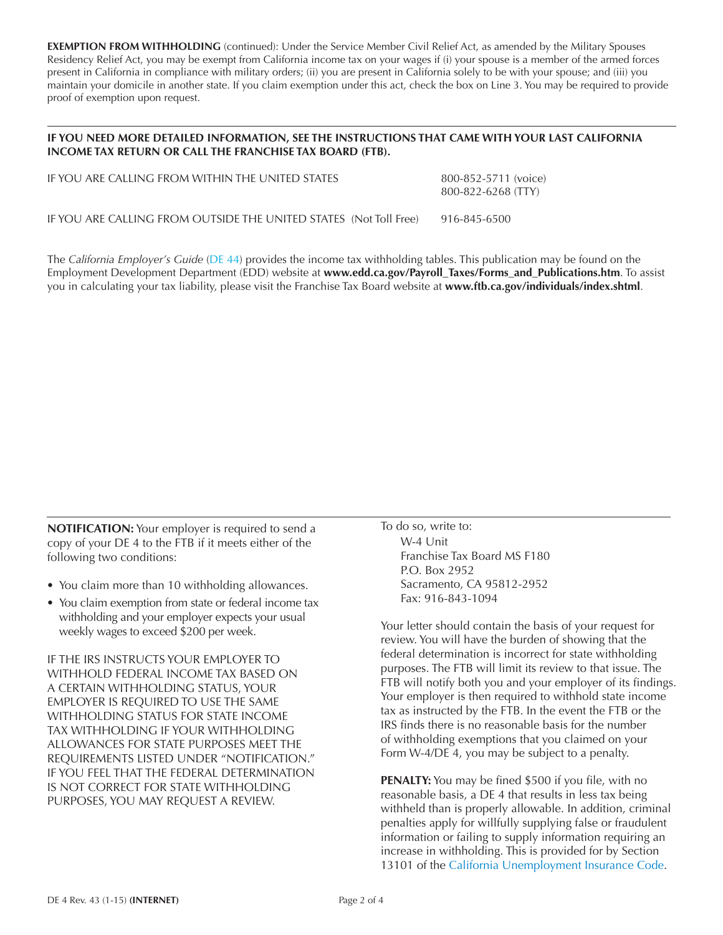**EXEMPTION FROM WITHHOLDING** (continued): Under the Service Member Civil Relief Act, as amended by the Military Spouses Residency Relief Act, you may be exempt from California income tax on your wages if (i) your spouse is a member of the armed forces present in California in compliance with military orders; (ii) you are present in California solely to be with your spouse; and (iii) you maintain your domicile in another state. If you claim exemption under this act, check the box on Line 3. You may be required to provide proof of exemption upon request.

# **IF YOU NEED MORE DETAILED INFORMATION, SEE THE INSTRUCTIONS THAT CAME WITH YOUR LAST CALIFORNIA INCOME TAX RETURN OR CALL THE FRANCHISE TAX BOARD (FTB).**

| IF YOU ARE CALLING FROM WITHIN THE UNITED STATES                  | 800-852-5711 (voice)<br>800-822-6268 (TTY) |
|-------------------------------------------------------------------|--------------------------------------------|
| IF YOU ARE CALLING FROM OUTSIDE THE UNITED STATES (Not Toll Free) | 916-845-6500                               |

The *[California Employer's Guide](http://www.edd.ca.gov/pdf_pub_ctr/de44.pdf)* (DE 44) provides the income tax withholding tables. This publication may be found on the Employment Development Department (EDD) website at **www.edd.ca.gov/Payroll\_Taxes/Forms\_and\_Publications.htm**. To assist you in calculating your tax liability, please visit the Franchise Tax Board website at **<www.ftb.ca.gov/individuals/index.shtml>**.

**NOTIFICATION:** Your employer is required to send a copy of your DE 4 to the FTB if it meets either of the following two conditions:

- You claim more than 10 withholding allowances.
- You claim exemption from state or federal income tax withholding and your employer expects your usual weekly wages to exceed \$200 per week.

IF THE IRS INSTRUCTS YOUR EMPLOYER TO WITHHOLD FEDERAL INCOME TAX BASED ON A CERTAIN WITHHOLDING STATUS, YOUR EMPLOYER IS REQUIRED TO USE THE SAME WITHHOLDING STATUS FOR STATE INCOME TAX WITHHOLDING IF YOUR WITHHOLDING ALLOWANCES FOR STATE PURPOSES MEET THE REQUIREMENTS LISTED UNDER "NOTIFICATION." IF YOU FEEL THAT THE FEDERAL DETERMINATION IS NOT CORRECT FOR STATE WITHHOLDING PURPOSES, YOU MAY REQUEST A REVIEW.

To do so, write to: W-4 Unit Franchise Tax Board MS F180 P.O. Box 2952 Sacramento, CA 95812-2952 Fax: 916-843-1094

Your letter should contain the basis of your request for review. You will have the burden of showing that the federal determination is incorrect for state withholding purposes. The FTB will limit its review to that issue. The FTB will notify both you and your employer of its findings. Your employer is then required to withhold state income tax as instructed by the FTB. In the event the FTB or the IRS finds there is no reasonable basis for the number of withholding exemptions that you claimed on your Form W-4/DE 4, you may be subject to a penalty.

**PENALTY:** You may be fined \$500 if you file, with no reasonable basis, a DE 4 that results in less tax being withheld than is properly allowable. In addition, criminal penalties apply for willfully supplying false or fraudulent information or failing to supply information requiring an increase in withholding. This is provided for by Section 13101 of the [California Unemployment Insurance Code.](http://leginfo.legislature.ca.gov/faces/codes.xhtml)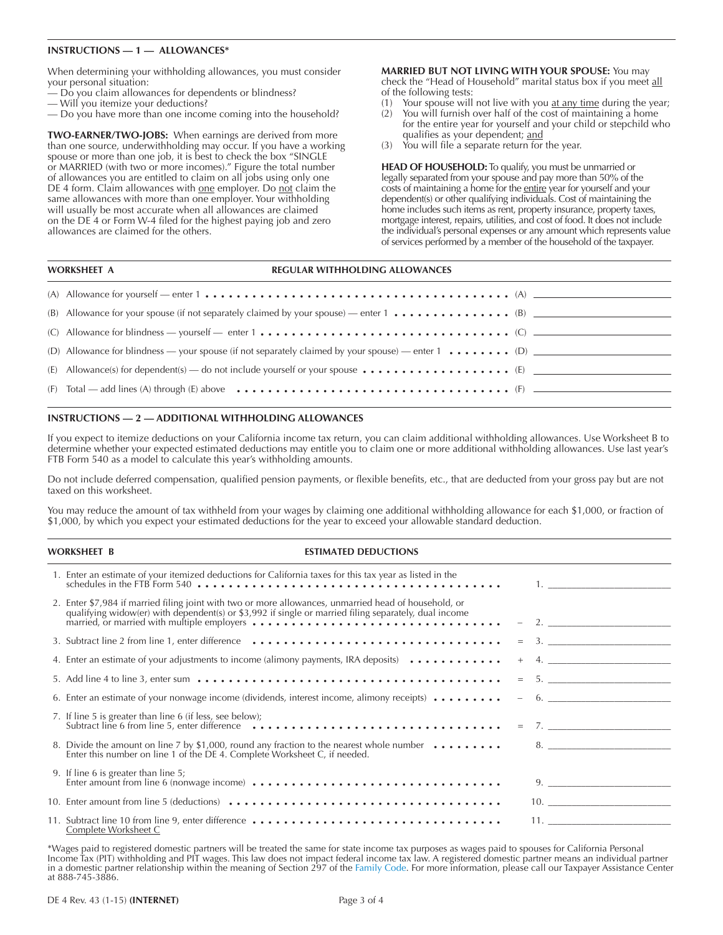#### **INSTRUCTIONS — 1 — ALLOWANCES\***

When determining your withholding allowances, you must consider your personal situation:

- Do you claim allowances for dependents or blindness?
- Will you itemize your deductions?
- Do you have more than one income coming into the household?

**TWO-EARNER/TWO-JOBS:** When earnings are derived from more than one source, underwithholding may occur. If you have a working spouse or more than one job, it is best to check the box "SINGLE or MARRIED (with two or more incomes)." Figure the total number of allowances you are entitled to claim on all jobs using only one DE 4 form. Claim allowances with one employer. Do not claim the same allowances with more than one employer. Your withholding will usually be most accurate when all allowances are claimed on the DE 4 or Form W-4 filed for the highest paying job and zero allowances are claimed for the others.

**MARRIED BUT NOT LIVING WITH YOUR SPOUSE:** You may check the "Head of Household" marital status box if you meet all of the following tests:

- (1) Your spouse will not live with you  $at$  any time during the year;
- (2) You will furnish over half of the cost of maintaining a home for the entire year for yourself and your child or stepchild who qualifies as your dependent; and
- (3) You will file a separate return for the year.

**HEAD OF HOUSEHOLD:** To qualify, you must be unmarried or legally separated from your spouse and pay more than 50% of the costs of maintaining a home for the entire year for yourself and your dependent(s) or other qualifying individuals. Cost of maintaining the home includes such items as rent, property insurance, property taxes, mortgage interest, repairs, utilities, and cost of food. It does not include the individual's personal expenses or any amount which represents value of services performed by a member of the household of the taxpayer.

| <b>REGULAR WITHHOLDING ALLOWANCES</b><br><b>WORKSHEET A</b>                                                                                                      |
|------------------------------------------------------------------------------------------------------------------------------------------------------------------|
| (A) Allowance for yourself — enter 1 $\dots \dots \dots \dots \dots \dots \dots \dots \dots \dots \dots \dots \dots$ (A) $\qquad \qquad$                         |
| (B) Allowance for your spouse (if not separately claimed by your spouse) — enter $1 \cdot \cdot \cdot \cdot \cdot \cdot \cdot \cdot \cdot \cdot \cdot \cdot$ (B) |
| (C) Allowance for blindness — yourself — enter 1 $\dots \dots \dots \dots \dots \dots \dots \dots \dots \dots \dots$ (C) — $\Box$                                |
| (D) Allowance for blindness — your spouse (if not separately claimed by your spouse) — enter 1  (D)                                                              |
| (E) Allowance(s) for dependent(s) — do not include yourself or your spouse $\dots \dots \dots \dots \dots$ (E) ________                                          |
| (F) Total — add lines (A) through (E) above $\dots \dots \dots \dots \dots \dots \dots \dots \dots \dots \dots \dots$ (F) ———————————                            |

#### **INSTRUCTIONS — 2 — ADDITIONAL WITHHOLDING ALLOWANCES**

If you expect to itemize deductions on your California income tax return, you can claim additional withholding allowances. Use Worksheet B to determine whether your expected estimated deductions may entitle you to claim one or more additional withholding allowances. Use last year's FTB Form 540 as a model to calculate this year's withholding amounts.

Do not include deferred compensation, qualified pension payments, or flexible benefits, etc., that are deducted from your gross pay but are not taxed on this worksheet.

You may reduce the amount of tax withheld from your wages by claiming one additional withholding allowance for each \$1,000, or fraction of \$1,000, by which you expect your estimated deductions for the year to exceed your allowable standard deduction.

#### **WORKSHEET B ESTIMATED DEDUCTIONS**

| 1. Enter an estimate of your itemized deductions for California taxes for this tax year as listed in the<br>schedules in the FTB Form 540 $\dots\dots\dots\dots\dots\dots\dots\dots\dots\dots\dots\dots\dots$ 1.                                                                                                                                             |        |
|--------------------------------------------------------------------------------------------------------------------------------------------------------------------------------------------------------------------------------------------------------------------------------------------------------------------------------------------------------------|--------|
| 2. Enter \$7,984 if married filing joint with two or more allowances, unmarried head of household, or qualifying widow(er) with dependent(s) or \$3,992 if single or married filing separately, dual income                                                                                                                                                  |        |
| 3. Subtract line 2 from line 1, enter difference ……………………………………………………………………………………                                                                                                                                                                                                                                                                            | $=$ 3. |
| 4. Enter an estimate of your adjustments to income (alimony payments, IRA deposits) $\dots \dots \dots$                                                                                                                                                                                                                                                      | $+$ 4. |
|                                                                                                                                                                                                                                                                                                                                                              | $=$ 5. |
| 6. Enter an estimate of your nonwage income (dividends, interest income, alimony receipts) $\dots \dots$                                                                                                                                                                                                                                                     | $-6.$  |
| 7. If line 5 is greater than line 6 (if less, see below);<br>Subtract line 6 from line 5, enter difference $\cdots$ . $\cdots$ . $\cdots$ . $\cdots$ . $\cdots$ . $\cdots$ . $\cdots$ . $\cdots$ . $\cdots$ . $\cdots$ . $\cdots$ . $\cdots$ . $\cdots$ . $\cdots$ . $\cdots$ . $\cdots$ . $\cdots$ . $\cdots$ . $\cdots$ . $\cdots$ . $\cdots$ . $\cdots$ . |        |
| 8. Divide the amount on line 7 by \$1,000, round any fraction to the nearest whole number $\dots \dots$ $\dots$ 8.<br>Enter this number on line 1 of the DE 4. Complete Worksheet C, if needed.                                                                                                                                                              |        |
| 9. If line 6 is greater than line 5;                                                                                                                                                                                                                                                                                                                         | 9.     |
|                                                                                                                                                                                                                                                                                                                                                              |        |
| 11. Subtract line 10 from line 9, enter difference<br>Complete Worksheet C                                                                                                                                                                                                                                                                                   | 11.    |

\*Wages paid to registered domestic partners will be treated the same for state income tax purposes as wages paid to spouses for California Personal Income Tax (PIT) withholding and PIT wages. This law does not impact federal income tax law. A registered domestic partner means an individual partner in a domestic partner relationship within the meaning of Section 297 of the [Family Code.](http://leginfo.legislature.ca.gov/faces/codes.xhtml) For more information, please call our Taxpayer Assistance Center at 888-745-3886.